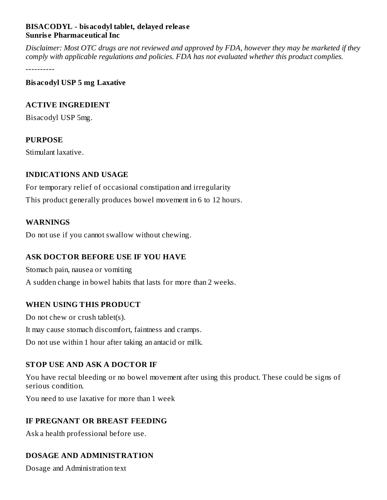## **BISACODYL - bisacodyl tablet, delayed releas e Sunris e Pharmaceutical Inc**

Disclaimer: Most OTC drugs are not reviewed and approved by FDA, however they may be marketed if they *comply with applicable regulations and policies. FDA has not evaluated whether this product complies.*

----------

**Bisacodyl USP 5 mg Laxative**

#### **ACTIVE INGREDIENT**

Bisacodyl USP 5mg.

## **PURPOSE**

Stimulant laxative.

#### **INDICATIONS AND USAGE**

For temporary relief of occasional constipation and irregularity This product generally produces bowel movement in 6 to 12 hours.

#### **WARNINGS**

Do not use if you cannot swallow without chewing.

## **ASK DOCTOR BEFORE USE IF YOU HAVE**

Stomach pain, nausea or vomiting A sudden change in bowel habits that lasts for more than 2 weeks.

## **WHEN USING THIS PRODUCT**

Do not chew or crush tablet(s). It may cause stomach discomfort, faintness and cramps. Do not use within 1 hour after taking an antacid or milk.

## **STOP USE AND ASK A DOCTOR IF**

You have rectal bleeding or no bowel movement after using this product. These could be signs of serious condition.

You need to use laxative for more than 1 week

## **IF PREGNANT OR BREAST FEEDING**

Ask a health professional before use.

## **DOSAGE AND ADMINISTRATION**

Dosage and Administration text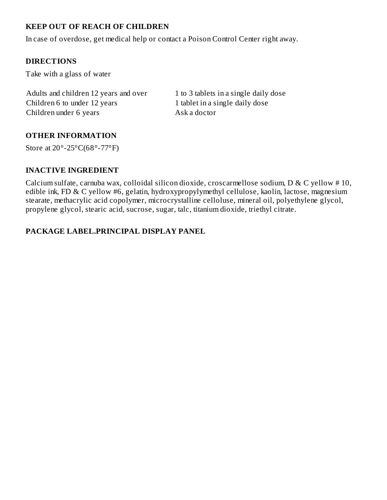# **KEEP OUT OF REACH OF CHILDREN**

In case of overdose, get medical help or contact a Poison Control Center right away.

## **DIRECTIONS**

Take with a glass of water

Adults and children 12 years and over 1 to 3 tablets in a single daily dose Children 6 to under 12 years 1 tablet in a single daily dose Children under 6 years Ask a doctor

## **OTHER INFORMATION**

Store at 20°-25°C(68°-77°F)

#### **INACTIVE INGREDIENT**

Calcium sulfate, carnuba wax, colloidal silicon dioxide, croscarmellose sodium, D & C yellow # 10, edible ink, FD & C yellow #6, gelatin, hydroxypropylymethyl cellulose, kaolin, lactose, magnesium stearate, methacrylic acid copolymer, microcrystalline celloluse, mineral oil, polyethylene glycol, propylene glycol, stearic acid, sucrose, sugar, talc, titanium dioxide, triethyl citrate.

## **PACKAGE LABEL.PRINCIPAL DISPLAY PANEL**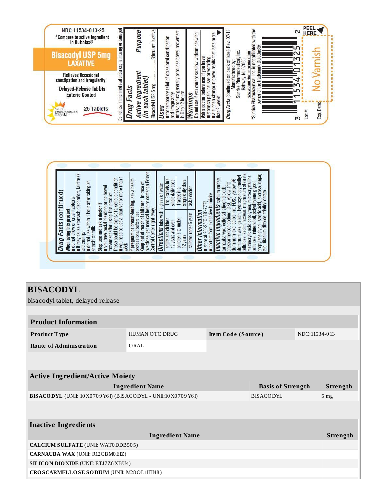

| ■ it may cause stomach discomfort, faintness<br>and cramps<br>(continued                                                                        | ï                                                                                                                                                                                                                                                                                                                                                                                                                           | overdose, get medical help or contact a Poison<br>1 to 3 tablets in a<br>single daily dose<br>single daily dose<br>glass of water<br>aska doctor<br>1 tablet in a<br>$\overline{c}$ |                                                                                      | aluminum lake, gelatin, hydroxypropylmethyl<br>cellulose, kaolin, lactose, magnesium stearate,<br>methacrylic acid copolymer, microcrystalline<br>cellulose, mineral oil, polyethylene glycol,<br>propylene glycol, stearic acid, sucrose, sugar,<br>talc, titanium dioxide, triethyl citrate<br>sulfate, |  |
|-------------------------------------------------------------------------------------------------------------------------------------------------|-----------------------------------------------------------------------------------------------------------------------------------------------------------------------------------------------------------------------------------------------------------------------------------------------------------------------------------------------------------------------------------------------------------------------------|-------------------------------------------------------------------------------------------------------------------------------------------------------------------------------------|--------------------------------------------------------------------------------------|-----------------------------------------------------------------------------------------------------------------------------------------------------------------------------------------------------------------------------------------------------------------------------------------------------------|--|
| o not use within 1 hour after taking an<br>do not chew or crush tablet(s)<br>When using this product<br><b>Facts</b><br>antacid or milk<br>Drug | movement auer using sinceresses condition.<br>These could be signs of a serious condition.<br>- Issues for more than 1<br>you need to use a laxative for more than<br>f pregnant or breast-feeding, ask a health<br>professional before use.<br>Keep out of reach of children. In case of<br>$\blacksquare$ you have rectal bleeding or no bowel<br>movement after using this product.<br>Stop use and ask a doctor<br>week | Control Center right away.<br><b>Directions</b> take with<br>children under 6 years<br>adults and children<br>children 6 to under<br>12 years and over<br>12 years                  | protect from excessive humidity<br>store at 20°-25°C (68°-77°F)<br>Other information | carnauba wax, čolloidal silicon dioxide,<br>croscarmellose sodium, D&C yellow #10<br>aluminum lake, edible ink, FD&C yellow #6<br>Inactive ingredients cabium<br>aluminum lake,                                                                                                                           |  |

# **BISACODYL**

| bisacodyl tablet, delayed release                                    |                        |                    |  |                 |          |
|----------------------------------------------------------------------|------------------------|--------------------|--|-----------------|----------|
|                                                                      |                        |                    |  |                 |          |
| <b>Product Information</b>                                           |                        |                    |  |                 |          |
| Product Type                                                         | HUMAN OTC DRUG         | Item Code (Source) |  | NDC:11534-013   |          |
| <b>Route of Administration</b>                                       | ORAL                   |                    |  |                 |          |
|                                                                      |                        |                    |  |                 |          |
|                                                                      |                        |                    |  |                 |          |
| <b>Active Ingredient/Active Moiety</b>                               |                        |                    |  |                 |          |
| <b>Ingredient Name</b><br><b>Basis of Strength</b>                   |                        |                    |  | Strength        |          |
| BISACODYL (UNII: 10 X0 70 9 Y6 I) (BISACODYL - UNII:10 X0 70 9 Y6 I) |                        | BISACODYL          |  | 5 <sub>mg</sub> |          |
|                                                                      |                        |                    |  |                 |          |
|                                                                      |                        |                    |  |                 |          |
| <b>Inactive Ingredients</b>                                          |                        |                    |  |                 |          |
|                                                                      | <b>Ingredient Name</b> |                    |  |                 | Strength |
| <b>CALCIUM SULFATE (UNII: WAT0DDB505)</b>                            |                        |                    |  |                 |          |
| <b>CARNAUBA WAX (UNII: R12CBM0EIZ)</b>                               |                        |                    |  |                 |          |
| <b>SILICON DIO XIDE (UNII: ETJ7Z6 XBU4)</b>                          |                        |                    |  |                 |          |
| CROSCARMELLOSE SODIUM (UNII: M28OL1HH48)                             |                        |                    |  |                 |          |
|                                                                      |                        |                    |  |                 |          |